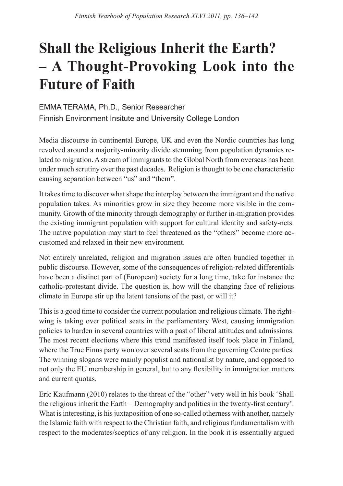## **Shall the Religious Inherit the Earth? – A Thought-Provoking Look into the Future of Faith**

EMMA TERAMA, Ph.D., Senior Researcher Finnish Environment Insitute and University College London

Media discourse in continental Europe, UK and even the Nordic countries has long revolved around a majority-minority divide stemming from population dynamics related to migration. A stream of immigrants to the Global North from overseas has been under much scrutiny over the past decades. Religion is thought to be one characteristic causing separation between "us" and "them".

It takes time to discover what shape the interplay between the immigrant and the native population takes. As minorities grow in size they become more visible in the community. Growth of the minority through demography or further in-migration provides the existing immigrant population with support for cultural identity and safety-nets. The native population may start to feel threatened as the "others" become more accustomed and relaxed in their new environment.

Not entirely unrelated, religion and migration issues are often bundled together in public discourse. However, some of the consequences of religion-related differentials have been a distinct part of (European) society for a long time, take for instance the catholic-protestant divide. The question is, how will the changing face of religious climate in Europe stir up the latent tensions of the past, or will it?

This is a good time to consider the current population and religious climate. The rightwing is taking over political seats in the parliamentary West, causing immigration policies to harden in several countries with a past of liberal attitudes and admissions. The most recent elections where this trend manifested itself took place in Finland, where the True Finns party won over several seats from the governing Centre parties. The winning slogans were mainly populist and nationalist by nature, and opposed to not only the EU membership in general, but to any flexibility in immigration matters and current quotas.

Eric Kaufmann (2010) relates to the threat of the "other" very well in his book 'Shall the religious inherit the Earth – Demography and politics in the twenty-first century'. What is interesting, is his juxtaposition of one so-called otherness with another, namely the Islamic faith with respect to the Christian faith, and religious fundamentalism with respect to the moderates/sceptics of any religion. In the book it is essentially argued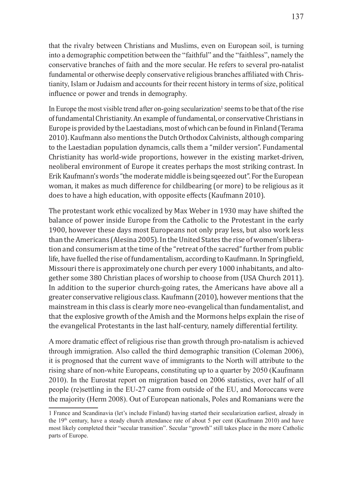that the rivalry between Christians and Muslims, even on European soil, is turning into a demographic competition between the "faithful" and the "faithless", namely the conservative branches of faith and the more secular. He refers to several pro-natalist fundamental or otherwise deeply conservative religious branches affiliated with Christianity, Islam or Judaism and accounts for their recent history in terms of size, political influence or power and trends in demography.

In Europe the most visible trend after on-going secularization<sup>1</sup> seems to be that of the rise of fundamental Christianity. An example of fundamental, or conservative Christians in Europe is provided by the Laestadians, most of which can be found in Finland (Terama 2010). Kaufmann also mentions the Dutch Orthodox Calvinists, although comparing to the Laestadian population dynamcis, calls them a "milder version". Fundamental Christianity has world-wide proportions, however in the existing market-driven, neoliberal environment of Europe it creates perhaps the most striking contrast. In Erik Kaufmann's words "the moderate middle is being sqeezed out". For the European woman, it makes as much difference for childbearing (or more) to be religious as it does to have a high education, with opposite effects (Kaufmann 2010).

The protestant work ethic vocalized by Max Weber in 1930 may have shifted the balance of power inside Europe from the Catholic to the Protestant in the early 1900, however these days most Europeans not only pray less, but also work less than the Americans (Alesina 2005). In the United States the rise of women's liberation and consumerism at the time of the "retreat of the sacred" further from public life, have fuelled the rise of fundamentalism, according to Kaufmann. In Springfield, Missouri there is approximately one church per every 1000 inhabitants, and altogether some 380 Christian places of worship to choose from (USA Church 2011). In addition to the superior church-going rates, the Americans have above all a greater conservative religious class. Kaufmann (2010), however mentions that the mainstream in this class is clearly more neo-evangelical than fundamentalist, and that the explosive growth of the Amish and the Mormons helps explain the rise of the evangelical Protestants in the last half-century, namely differential fertility.

A more dramatic effect of religious rise than growth through pro-natalism is achieved through immigration. Also called the third demographic transition (Coleman 2006), it is prognosed that the current wave of immigrants to the North will attribute to the rising share of non-white Europeans, constituting up to a quarter by 2050 (Kaufmann 2010). In the Eurostat report on migration based on 2006 statistics, over half of all people (re)settling in the EU-27 came from outside of the EU, and Moroccans were the majority (Herm 2008). Out of European nationals, Poles and Romanians were the

<sup>1</sup> France and Scandinavia (let's include Finland) having started their secularization earliest, already in the 19<sup>th</sup> century, have a steady church attendance rate of about 5 per cent (Kaufmann 2010) and have most likely completed their "secular transition". Secular "growth" still takes place in the more Catholic parts of Europe.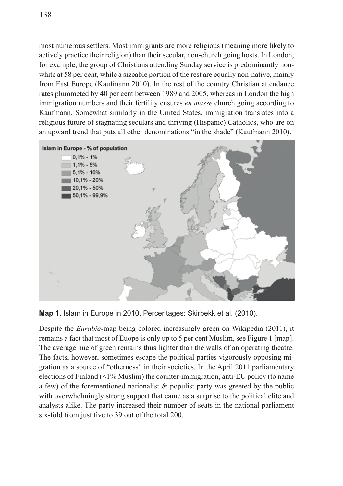most numerous settlers. Most immigrants are more religious (meaning more likely to actively practice their religion) than their secular, non-church going hosts. In London, for example, the group of Christians attending Sunday service is predominantly nonwhite at 58 per cent, while a sizeable portion of the rest are equally non-native, mainly from East Europe (Kaufmann 2010). In the rest of the country Christian attendance rates plummeted by 40 per cent between 1989 and 2005, whereas in London the high immigration numbers and their fertility ensures *en masse* church going according to Kaufmann. Somewhat similarly in the United States, immigration translates into a religious future of stagnating seculars and thriving (Hispanic) Catholics, who are on an upward trend that puts all other denominations "in the shade" (Kaufmann 2010).



**Map 1.** Islam in Europe in 2010. Percentages: Skirbekk et al. (2010).

Despite the *Eurabia*-map being colored increasingly green on Wikipedia (2011), it remains a fact that most of Euope is only up to 5 per cent Muslim, see Figure 1 [map]. The average hue of green remains thus lighter than the walls of an operating theatre. The facts, however, sometimes escape the political parties vigorously opposing migration as a source of "otherness" in their societies. In the April 2011 parliamentary elections of Finland (<1% Muslim) the counter-immigration, anti-EU policy (to name a few) of the forementioned nationalist & populist party was greeted by the public with overwhelmingly strong support that came as a surprise to the political elite and analysts alike. The party increased their number of seats in the national parliament six-fold from just five to 39 out of the total 200.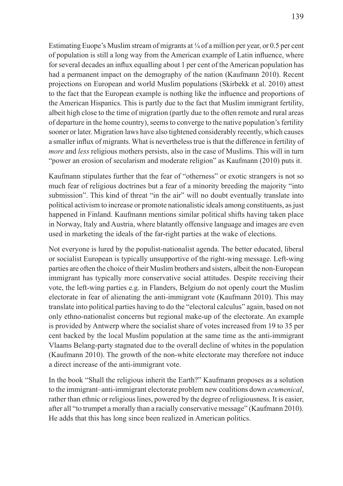Estimating Euope's Muslim stream of migrants at  $\frac{1}{4}$  of a million per year, or 0.5 per cent of population is still a long way from the American example of Latin influence, where for several decades an influx equalling about 1 per cent of the American population has had a permanent impact on the demography of the nation (Kaufmann 2010). Recent projections on European and world Muslim populations (Skirbekk et al. 2010) attest to the fact that the European example is nothing like the influence and proportions of the American Hispanics. This is partly due to the fact that Muslim immigrant fertility, albeit high close to the time of migration (partly due to the often remote and rural areas of departure in the home country), seems to converge to the native population's fertility sooner or later. Migration laws have also tightened considerably recently, which causes a smaller influx of migrants. What is nevertheless true is that the difference in fertility of *more* and *less* religious mothers persists, also in the case of Muslims. This will in turn "power an erosion of secularism and moderate religion" as Kaufmann (2010) puts it.

Kaufmann stipulates further that the fear of "otherness" or exotic strangers is not so much fear of religious doctrines but a fear of a minority breeding the majority "into submission". This kind of threat "in the air" will no doubt eventually translate into political activism to increase or promote nationalistic ideals among constituents, as just happened in Finland. Kaufmann mentions similar political shifts having taken place in Norway, Italy and Austria, where blatantly offensive language and images are even used in marketing the ideals of the far-right parties at the wake of elections.

Not everyone is lured by the populist-nationalist agenda. The better educated, liberal or socialist European is typically unsupportive of the right-wing message. Left-wing parties are often the choice of their Muslim brothers and sisters, albeit the non-European immigrant has typically more conservative social attitudes. Despite receiving their vote, the left-wing parties e.g. in Flanders, Belgium do not openly court the Muslim electorate in fear of alienating the anti-immigrant vote (Kaufmann 2010). This may translate into political parties having to do the "electoral calculus" again, based on not only ethno-nationalist concerns but regional make-up of the electorate. An example is provided by Antwerp where the socialist share of votes increased from 19 to 35 per cent backed by the local Muslim population at the same time as the anti-immigrant Vlaams Belang-party stagnated due to the overall decline of whites in the population (Kaufmann 2010). The growth of the non-white electorate may therefore not induce a direct increase of the anti-immigrant vote.

In the book "Shall the religious inherit the Earth?" Kaufmann proposes as a solution to the immigrant–anti-immigrant electorate problem new coalitions down *ecumenical*, rather than ethnic or religious lines, powered by the degree of religiousness. It is easier, after all "to trumpet a morally than a racially conservative message" (Kaufmann 2010). He adds that this has long since been realized in American politics.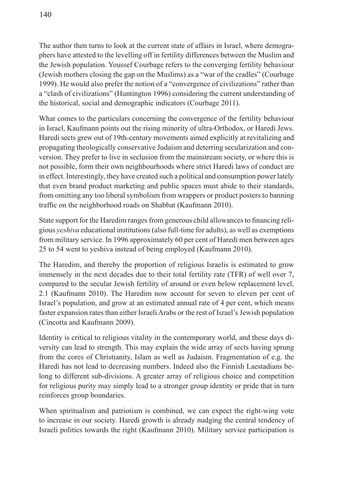The author then turns to look at the current state of affairs in Israel, where demographers have attested to the levelling off in fertility differences between the Muslim and the Jewish population. Youssef Courbage refers to the converging fertility behaviour (Jewish mothers closing the gap on the Muslims) as a "war of the cradles" (Courbage 1999). He would also prefer the notion of a "convergence of civilizations" rather than a "clash of civilizations" (Huntington 1996) considering the current understanding of the historical, social and demographic indicators (Courbage 2011).

What comes to the particulars concerning the convergence of the fertility behaviour in Israel, Kaufmann points out the rising minority of ultra-Orthodox, or Haredi Jews. Haredi sects grew out of 19th-century movements aimed explicitly at revitalizing and propagating theologically conservative Judaism and deterring secularization and conversion. They prefer to live in seclusion from the mainstream society, or where this is not possible, form their own neighbourhoods where strict Haredi laws of conduct are in effect. Interestingly, they have created such a political and consumption power lately that even brand product marketing and public spaces must abide to their standards, from omitting any too liberal symbolism from wrappers or product posters to banning traffic on the neighborhood roads on Shabbat (Kaufmann 2010).

State support for the Haredim ranges from generous child allowances to financing religious *yeshiva* educational institutions (also full-time for adults), as well as exemptions from military service. In 1996 approximately 60 per cent of Haredi men between ages 25 to 54 went to yeshiva instead of being employed (Kaufmann 2010).

The Haredim, and thereby the proportion of religious Israelis is estimated to grow immensely in the next decades due to their total fertility rate (TFR) of well over 7, compared to the secular Jewish fertility of around or even below replacement level, 2.1 (Kaufmann 2010). The Haredim now account for seven to eleven per cent of Israel's population, and grow at an estimated annual rate of 4 per cent, which means faster expansion rates than either Israeli Arabs or the rest of Israel's Jewish population (Cincotta and Kaufmann 2009).

Identity is critical to religious vitality in the contemporary world, and these days diversity can lead to strength. This may explain the wide array of sects having sprung from the cores of Christianity, Islam as well as Judaism. Fragmentation of e.g. the Haredi has not lead to decreasing numbers. Indeed also the Finnish Laestadians belong to different sub-divisions. A greater array of religious choice and competition for religious purity may simply lead to a stronger group identity or pride that in turn reinforces group boundaries.

When spiritualism and patriotism is combined, we can expect the right-wing vote to increase in our society. Haredi growth is already nudging the central tendency of Israeli politics towards the right (Kaufmann 2010). Military service participation is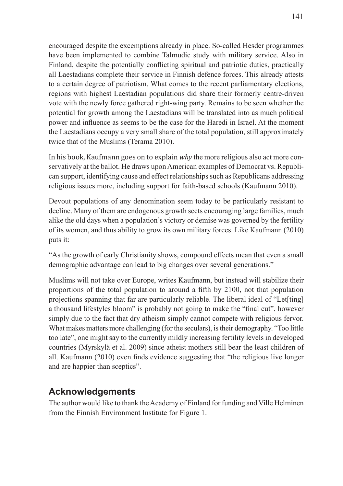encouraged despite the excemptions already in place. So-called Hesder programmes have been implemented to combine Talmudic study with military service. Also in Finland, despite the potentially conflicting spiritual and patriotic duties, practically all Laestadians complete their service in Finnish defence forces. This already attests to a certain degree of patriotism. What comes to the recent parliamentary elections, regions with highest Laestadian populations did share their formerly centre-driven vote with the newly force gathered right-wing party. Remains to be seen whether the potential for growth among the Laestadians will be translated into as much political power and influence as seems to be the case for the Haredi in Israel. At the moment the Laestadians occupy a very small share of the total population, still approximately twice that of the Muslims (Terama 2010).

In his book, Kaufmann goes on to explain *why* the more religious also act more conservatively at the ballot. He draws upon American examples of Democrat vs. Republican support, identifying cause and effect relationships such as Republicans addressing religious issues more, including support for faith-based schools (Kaufmann 2010).

Devout populations of any denomination seem today to be particularly resistant to decline. Many of them are endogenous growth sects encouraging large families, much alike the old days when a population's victory or demise was governed by the fertility of its women, and thus ability to grow its own military forces. Like Kaufmann (2010) puts it:

"As the growth of early Christianity shows, compound effects mean that even a small demographic advantage can lead to big changes over several generations."

Muslims will not take over Europe, writes Kaufmann, but instead will stabilize their proportions of the total population to around a fifth by 2100, not that population projections spanning that far are particularly reliable. The liberal ideal of "Let[ting] a thousand lifestyles bloom" is probably not going to make the "final cut", however simply due to the fact that dry atheism simply cannot compete with religious fervor. What makes matters more challenging (for the seculars), is their demography. "Too little too late", one might say to the currently mildly increasing fertility levels in developed countries (Myrskylä et al. 2009) since atheist mothers still bear the least children of all. Kaufmann (2010) even finds evidence suggesting that "the religious live longer and are happier than sceptics".

## **Acknowledgements**

The author would like to thank the Academy of Finland for funding and Ville Helminen from the Finnish Environment Institute for Figure 1.